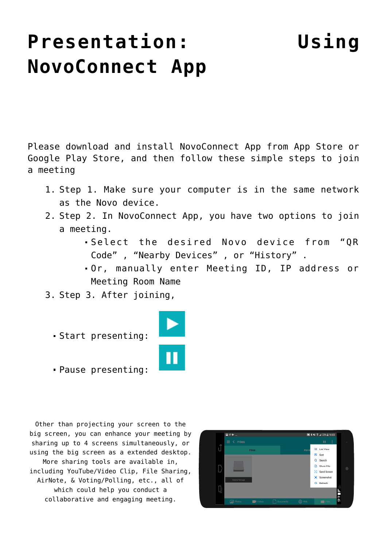## **[Presentation: Using](https://support.launchnovo.com/kb/novostage-presentation-using-novoconnect-app/) [NovoConnect App](https://support.launchnovo.com/kb/novostage-presentation-using-novoconnect-app/)**

Please download and install NovoConnect App from App Store or Google Play Store, and then follow these simple steps to join a meeting

- 1. Step 1. Make sure your computer is in the same network as the Novo device.
- 2. Step 2. In NovoConnect App, you have two options to join a meeting.
	- Select the desired Novo device from "QR Code" , "Nearby Devices" , or "History" .
	- Or, manually enter Meeting ID, IP address or Meeting Room Name
- 3. Step 3. After joining,
	- Start presenting:



Pause presenting:

Other than projecting your screen to the big screen, you can enhance your meeting by sharing up to 4 screens simultaneously, or using the big screen as a extended desktop. More sharing tools are available in, including YouTube/Video Clip, File Sharing, AirNote, & Voting/Polling, etc., all of which could help you conduct a collaborative and engaging meeting.